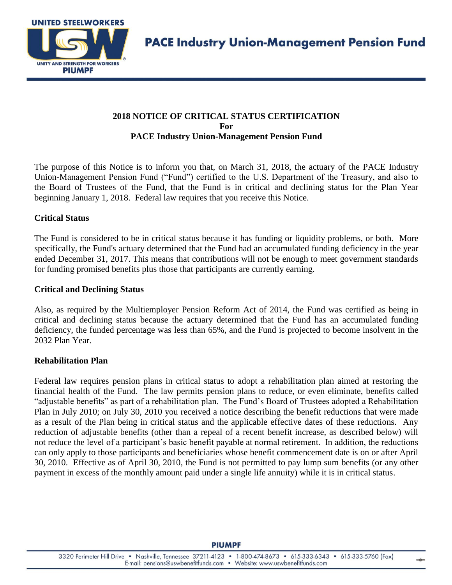

# **2018 NOTICE OF CRITICAL STATUS CERTIFICATION For PACE Industry Union-Management Pension Fund**

The purpose of this Notice is to inform you that, on March 31, 2018, the actuary of the PACE Industry Union-Management Pension Fund ("Fund") certified to the U.S. Department of the Treasury, and also to the Board of Trustees of the Fund, that the Fund is in critical and declining status for the Plan Year beginning January 1, 2018. Federal law requires that you receive this Notice.

## **Critical Status**

The Fund is considered to be in critical status because it has funding or liquidity problems, or both. More specifically, the Fund's actuary determined that the Fund had an accumulated funding deficiency in the year ended December 31, 2017. This means that contributions will not be enough to meet government standards for funding promised benefits plus those that participants are currently earning.

#### **Critical and Declining Status**

Also, as required by the Multiemployer Pension Reform Act of 2014, the Fund was certified as being in critical and declining status because the actuary determined that the Fund has an accumulated funding deficiency, the funded percentage was less than 65%, and the Fund is projected to become insolvent in the 2032 Plan Year.

### **Rehabilitation Plan**

Federal law requires pension plans in critical status to adopt a rehabilitation plan aimed at restoring the financial health of the Fund. The law permits pension plans to reduce, or even eliminate, benefits called "adjustable benefits" as part of a rehabilitation plan. The Fund's Board of Trustees adopted a Rehabilitation Plan in July 2010; on July 30, 2010 you received a notice describing the benefit reductions that were made as a result of the Plan being in critical status and the applicable effective dates of these reductions. Any reduction of adjustable benefits (other than a repeal of a recent benefit increase, as described below) will not reduce the level of a participant's basic benefit payable at normal retirement. In addition, the reductions can only apply to those participants and beneficiaries whose benefit commencement date is on or after April 30, 2010. Effective as of April 30, 2010, the Fund is not permitted to pay lump sum benefits (or any other payment in excess of the monthly amount paid under a single life annuity) while it is in critical status.